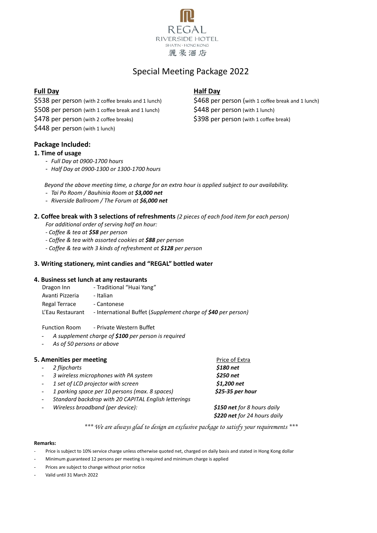

## Special Meeting Package 2022

## **Full Day Half Day**

\$538 per person (with 2 coffee breaks and 1 lunch) \$468 per person (with 1 coffee break and 1 lunch)

\$508 per person (with 1 coffee break and 1 lunch) \$448 per person (with 1 lunch)

\$478 per person (with 2 coffee breaks) \$398 per person (with 1 coffee break)

\$448 per person (with 1 lunch)

### **Package Included:**

#### **1. Time of usage**

- *Full Day at 0900-1700 hours*
- *Half Day at 0900-1300 or 1300-1700 hours*

*Beyond the above meeting time, a charge for an extra hour is applied subject to our availability.*

- *Tai Po Room / Bauhinia Room at \$3,000 net*
- *Riverside Ballroom / The Forum at \$6,000 net*

## **2. Coffee break with 3 selections of refreshments** *(2 pieces of each food item for each person)*

*For additional order of serving half an hour:*

*- Coffee & tea at \$58 per person*

- *- Coffee & tea with assorted cookies at \$88 per person*
- *- Coffee & tea with 3 kinds of refreshment at \$128 per person*

#### **3. Writing stationery, mint candies and "REGAL" bottled water**

#### **4. Business set lunch at any restaurants**

- Dragon Inn Traditional "Huai Yang"
- Avanti Pizzeria Italian
- Regal Terrace Cantonese

L'Eau Restaurant - International Buffet (*Supplement charge of \$40 per person)*

Function Room - Private Western Buffet

- *A supplement charge of \$100 per person is required*
- *As of 50 persons or above*

#### **5. Amenities per meeting Extra** Price of Extra

- *2 flipcharts \$180 net*
- *3 wireless microphones with PA system \$250 net*
- *1 set of LCD projector with screen \$1,200 net*
- *1 parking space per 10 persons (max. 8 spaces) \$25-35 per hour*
- *Standard backdrop with 20 CAPITAL English letterings*
- *Wireless broadband (per device): \$150 net for 8 hours daily*

 *\$220 net for 24 hours daily*

*\*\*\* We are always glad to design an exclusive package to satisfy your requirements \*\*\**

#### **Remarks:**

- Price is subject to 10% service charge unless otherwise quoted net, charged on daily basis and stated in Hong Kong dollar
- Minimum guaranteed 12 persons per meeting is required and minimum charge is applied
- Prices are subject to change without prior notice
- Valid until 31 March 2022